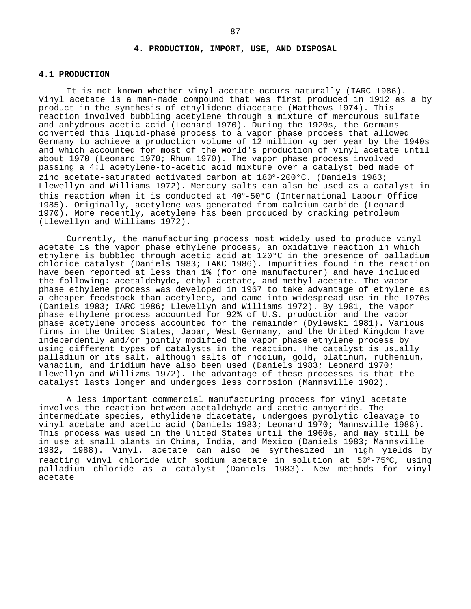### **4.1 PRODUCTION**

It is not known whether vinyl acetate occurs naturally (IARC 1986). Vinyl acetate is a man-made compound that was first produced in 1912 as a by product in the synthesis of ethylidene diacetate (Matthews 1974). This reaction involved bubbling acetylene through a mixture of mercurous sulfate and anhydrous acetic acid (Leonard 1970). During the 1920s, the Germans converted this liquid-phase process to a vapor phase process that allowed Germany to achieve a production volume of 12 million kg per year by the 1940s and which accounted for most of the world's production of vinyl acetate until about 1970 (Leonard 1970; Rhum 1970). The vapor phase process involved passing a 4:l acetylene-to-acetic acid mixture over a catalyst bed made of zinc acetate-saturated activated carbon at 180°-200°C. (Daniels 1983; Llewellyn and Williams 1972). Mercury salts can also be used as a catalyst in this reaction when it is conducted at 40°-50°C (International Labour Office 1985). Originally, acetylene was generated from calcium carbide (Leonard 1970). More recently, acetylene has been produced by cracking petroleum (Llewellyn and Williams 1972).

Currently, the manufacturing process most widely used to produce vinyl acetate is the vapor phase ethylene process, an oxidative reaction in which ethylene is bubbled through acetic acid at 120°C in the presence of palladium chloride catalyst (Daniels 1983; IAKC 1986). Impurities found in the reaction have been reported at less than 1% (for one manufacturer) and have included the following: acetaldehyde, ethyl acetate, and methyl acetate. The vapor phase ethylene process was developed in 1967 to take advantage of ethylene as a cheaper feedstock than acetylene, and came into widespread use in the 1970s (Daniels 1983; IARC 1986; Llewellyn and Williams 1972). By 1981, the vapor phase ethylene process accounted for 92% of U.S. production and the vapor phase acetylene process accounted for the remainder (Dylewski 1981). Various firms in the United States, Japan, West Germany, and the United Kingdom have independently and/or jointly modified the vapor phase ethylene process by using different types of catalysts in the reaction. The catalyst is usually palladium or its salt, although salts of rhodium, gold, platinum, ruthenium, vanadium, and iridium have also been used (Daniels 1983; Leonard 1970; Llewellyn and Willizms 1972). The advantage of these processes is that the catalyst lasts longer and undergoes less corrosion (Mannsville 1982).

A less important commercial manufacturing process for vinyl acetate involves the reaction between acetaldehyde and acetic anhydride. The intermediate species, ethylidene diacetate, undergoes pyrolytic cleavage to vinyl acetate and acetic acid (Daniels 1983; Leonard 1970; Mannsville 1988). This process was used in the United States until the 1960s, and may still be in use at small plants in China, India, and Mexico (Daniels 1983; Mannsville 1982, 1988). Vinyl. acetate can also be synthesized in high yields by reacting vinyl chloride with sodium acetate in solution at 50°-75°C, using palladium chloride as a catalyst (Daniels 1983). New methods for vinyl acetate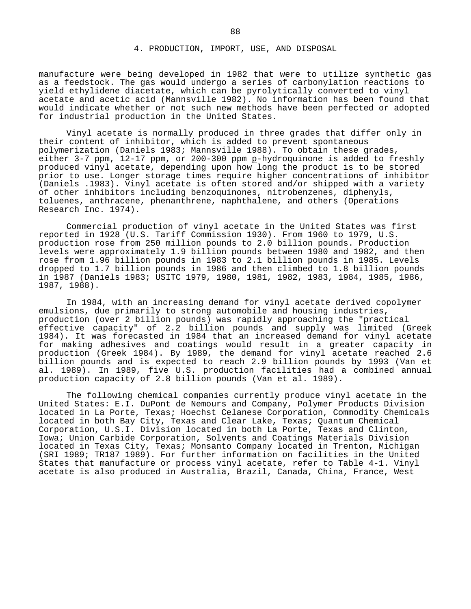manufacture were being developed in 1982 that were to utilize synthetic gas as a feedstock. The gas would undergo a series of carbonylation reactions to yield ethylidene diacetate, which can be pyrolytically converted to vinyl acetate and acetic acid (Mannsville 1982). No information has been found that would indicate whether or not such new methods have been perfected or adopted for industrial production in the United States.

Vinyl acetate is normally produced in three grades that differ only in their content of inhibitor, which is added to prevent spontaneous polymerization (Daniels 1983; Mannsville 1988). To obtain these grades, either 3-7 ppm, 12-17 ppm, or 200-300 ppm p-hydroquinone is added to freshly produced vinyl acetate, depending upon how long the product is to be stored prior to use. Longer storage times require higher concentrations of inhibitor (Daniels .1983). Vinyl acetate is often stored and/or shipped with a variety of other inhibitors including benzoquinones, nitrobenzenes, diphenyls, toluenes, anthracene, phenanthrene, naphthalene, and others (Operations Research Inc. 1974).

Commercial production of vinyl acetate in the United States was first reported in 1928 (U.S. Tariff Commission 1930). From 1960 to 1979, U.S. production rose from 250 million pounds to 2.0 billion pounds. Production levels were approximately 1.9 billion pounds between 1980 and 1982, and then rose from 1.96 billion pounds in 1983 to 2.1 billion pounds in 1985. Levels dropped to 1.7 billion pounds in 1986 and then climbed to 1.8 billion pounds in 1987 (Daniels 1983; USITC 1979, 1980, 1981, 1982, 1983, 1984, 1985, 1986, 1987, 1988).

In 1984, with an increasing demand for vinyl acetate derived copolymer emulsions, due primarily to strong automobile and housing industries, production (over 2 billion pounds) was rapidly approaching the "practical effective capacity" of 2.2 billion pounds and supply was limited (Greek 1984). It was forecasted in 1984 that an increased demand for vinyl acetate for making adhesives and coatings would result in a greater capacity in production (Greek 1984). By 1989, the demand for vinyl acetate reached 2.6 billion pounds and is expected to reach 2.9 billion pounds by 1993 (Van et al. 1989). In 1989, five U.S. production facilities had a combined annual production capacity of 2.8 billion pounds (Van et al. 1989).

The following chemical companies currently produce vinyl acetate in the United States: E.I. DuPont de Nemours and Company, Polymer Products Division located in La Porte, Texas; Hoechst Celanese Corporation, Commodity Chemicals located in both Bay City, Texas and Clear Lake, Texas; Quantum Chemical Corporation, U.S.I. Division located in both La Porte, Texas and Clinton, Iowa; Union Carbide Corporation, Solvents and Coatings Materials Division located in Texas City, Texas; Monsanto Company located in Trenton, Michigan (SRI 1989; TR187 1989). For further information on facilities in the United States that manufacture or process vinyl acetate, refer to Table 4-1. Vinyl acetate is also produced in Australia, Brazil, Canada, China, France, West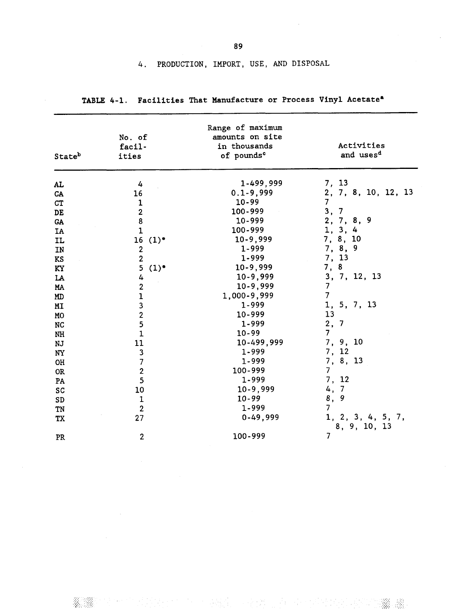| Stateb     | No. of<br>facil-<br>ities                  | Range of maximum<br>amounts on site<br>in thousands<br>of pounds <sup>c</sup> | Activities<br>and uses <sup>d</sup> |
|------------|--------------------------------------------|-------------------------------------------------------------------------------|-------------------------------------|
| <b>AL</b>  | 4                                          | 1-499,999                                                                     | 7, 13                               |
| CA         | 16                                         | $0.1 - 9,999$                                                                 | 2, 7, 8, 10, 12, 13                 |
| CT         | $\mathbf 1$                                | $10 - 99$                                                                     | $\overline{7}$                      |
| DE         |                                            | 100-999                                                                       | 3,<br>$\overline{7}$                |
| ${\sf GA}$ |                                            | $10 - 999$                                                                    | 2, 7, 8, 9                          |
| <b>IA</b>  | $\begin{array}{c} 2 \\ 8 \\ 1 \end{array}$ | 100-999                                                                       | 1, 3, 4                             |
| <b>IL</b>  | 16<br>$(1)$ <sup>e</sup>                   | $10-9,999$                                                                    | 7, 8, 10                            |
| IN         | $\boldsymbol{2}$                           | 1-999                                                                         | 7, 8, 9                             |
| <b>KS</b>  | $\overline{\mathbf{c}}$                    | 1-999                                                                         | 7, 13                               |
| KY         | 5<br>(1)                                   | $10-9,999$                                                                    | 7,8                                 |
| LA         | 4                                          | $10 - 9,999$                                                                  | 3, 7, 12, 13                        |
| MA         | $\overline{2}$                             | $10-9,999$                                                                    | $\overline{7}$                      |
| MD         | $\mathbf{1}$                               | 1,000-9,999                                                                   | $\overline{7}$                      |
| MI         | $\overline{\mathbf{3}}$                    | 1-999                                                                         | 1, 5, 7, 13                         |
| <b>MO</b>  |                                            | 10-999                                                                        | 13                                  |
| <b>NC</b>  | $\frac{2}{5}$                              | 1-999                                                                         | 2, 7                                |
| $\rm{NH}$  | $\mathbf 1$                                | $10 - 99$                                                                     | 7 <sup>1</sup>                      |
| NJ         | $11\,$                                     | 10-499,999                                                                    | 7, 9, 10                            |
| <b>NY</b>  | $\mathbf{3}$                               | 1-999                                                                         | 7, 12                               |
| OH         | $\overline{7}$                             | 1-999                                                                         | 7, 8, 13                            |
| <b>OR</b>  | $\overline{2}$                             | 100-999                                                                       | $\overline{7}$                      |
| PA         | 5                                          | 1-999                                                                         | 7, 12                               |
| SC         | 10                                         | $10 - 9,999$                                                                  | 4, 7                                |
| SD         | $\mathbf 1$                                | $10 - 99$                                                                     | 8, 9                                |
| TN         | $\overline{2}$                             | 1-999                                                                         | $7\overline{ }$                     |
| <b>TX</b>  | 27                                         | $0-49,999$                                                                    | 1, 2, 3, 4, 5, 7,<br>8, 9, 10, 13   |
| PR         | $\overline{2}$                             | 100-999                                                                       | $\overline{7}$                      |

1954年 100分以上

TABLE 4-1. Facilities That Manufacture or Process Vinyl Acetate<sup>a</sup>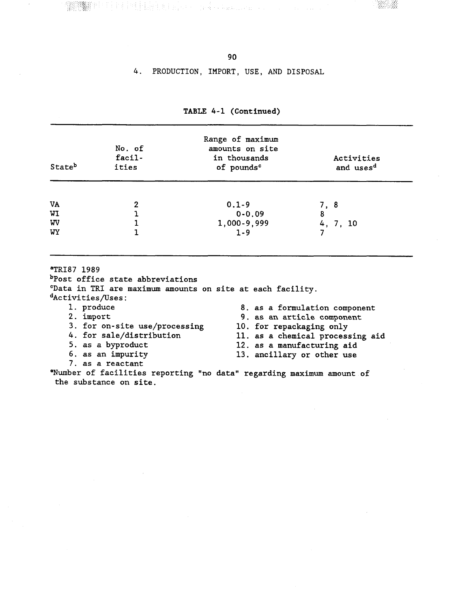<sup>定时</sup>时制持续生期和否认 (1) 等于 Australians

**WAR** 

#### 4. PRODUCTION, IMPORT, USE, AND DISPOSAL

| Stateb | No. of<br>facil-<br>ities | Range of maximum<br>amounts on site<br>in thousands<br>of pounds <sup>c</sup> | Activities<br>and uses <sup>d</sup> |
|--------|---------------------------|-------------------------------------------------------------------------------|-------------------------------------|
| VA     | 2                         | $0.1 - 9$                                                                     | 7, 8                                |
| WI     |                           | $0 - 0.09$                                                                    | 8                                   |
| WV     |                           | 1,000-9,999                                                                   | 4, 7, 10                            |
| WY     |                           | $1 - 9$                                                                       |                                     |

## TABLE 4-1 (Continued)

<sup>a</sup>TRI87 1989

bPost office state abbreviations

"Data in TRI are maximum amounts on site at each facility.

dActivities/Uses:

- 1. produce 2. import
- 8. as a formulation component 9. as an article component 3. for on-site use/processing<br>4. for sale/distribution 10. for repackaging only 11. as a chemical processing aid 12. as a manufacturing aid 13. ancillary or other use
- 5. as a byproduct 6. as an impurity

7. as a reactant

"Number of facilities reporting "no data" regarding maximum amount of the substance on site.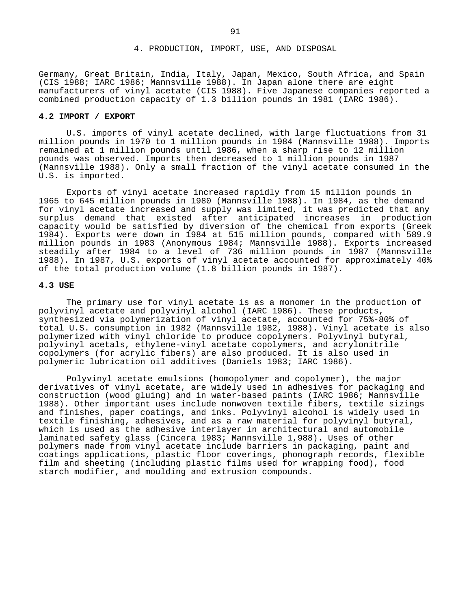Germany, Great Britain, India, Italy, Japan, Mexico, South Africa, and Spain (CIS 1988; IARC 1986; Mannsville 1988). In Japan alone there are eight manufacturers of vinyl acetate (CIS 1988). Five Japanese companies reported a combined production capacity of 1.3 billion pounds in 1981 (IARC 1986).

# **4.2 IMPORT / EXPORT**

U.S. imports of vinyl acetate declined, with large fluctuations from 31 million pounds in 1970 to 1 million pounds in 1984 (Mannsville 1988). Imports remained at 1 million pounds until 1986, when a sharp rise to 12 million pounds was observed. Imports then decreased to 1 million pounds in 1987 (Mannsville 1988). Only a small fraction of the vinyl acetate consumed in the U.S. is imported.

Exports of vinyl acetate increased rapidly from 15 million pounds in 1965 to 645 million pounds in 1980 (Mannsville 1988). In 1984, as the demand for vinyl acetate increased and supply was limited, it was predicted that any surplus demand that existed after anticipated increases in production capacity would be satisfied by diversion of the chemical from exports (Greek 1984). Exports were down in 1984 at 515 million pounds, compared with 589.9 million pounds in 1983 (Anonymous 1984; Mannsville 1988). Exports increased steadily after 1984 to a level of 736 million pounds in 1987 (Mannsville 1988). In 1987, U.S. exports of vinyl acetate accounted for approximately 40% of the total production volume (1.8 billion pounds in 1987).

#### **4.3 USE**

The primary use for vinyl acetate is as a monomer in the production of polyvinyl acetate and polyvinyl alcohol (IARC 1986). These products, synthesized via polymerization of vinyl acetate, accounted for 75%-80% of total U.S. consumption in 1982 (Mannsville 1982, 1988). Vinyl acetate is also polymerized with vinyl chloride to produce copolymers. Polyvinyl butyral, polyvinyl acetals, ethylene-vinyl acetate copolymers, and acrylonitrile copolymers (for acrylic fibers) are also produced. It is also used in polymeric lubrication oil additives (Daniels 1983; IARC 1986).

Polyvinyl acetate emulsions (homopolymer and copolymer), the major derivatives of vinyl acetate, are widely used in adhesives for packaging and construction (wood gluing) and in water-based paints (IARC 1986; Mannsville 1988). Other important uses include nonwoven textile fibers, textile sizings and finishes, paper coatings, and inks. Polyvinyl alcohol is widely used in textile finishing, adhesives, and as a raw material for polyvinyl butyral, which is used as the adhesive interlayer in architectural and automobile laminated safety glass (Cincera 1983; Mannsville 1,988). Uses of other polymers made from vinyl acetate include barriers in packaging, paint and coatings applications, plastic floor coverings, phonograph records, flexible film and sheeting (including plastic films used for wrapping food), food starch modifier, and moulding and extrusion compounds.